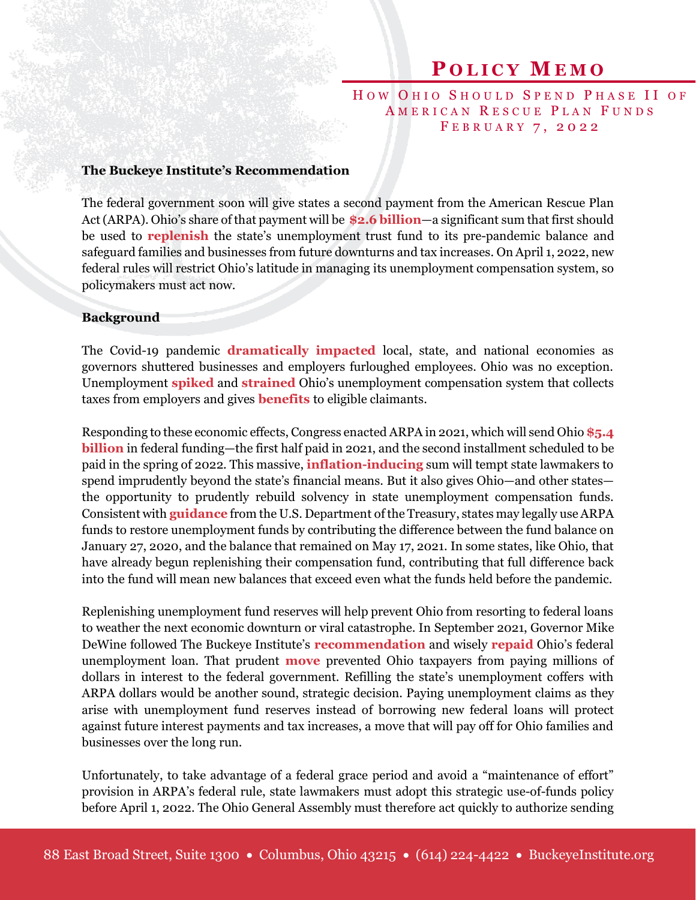## **P O L I C Y M E M O**

HOW OHIO SHOULD SPEND PHASE II OF AMERICAN RESCUE PLAN FUNDS FEBRUARY 7, 2022

## **The Buckeye Institute's Recommendation**

The federal government soon will give states a second payment from the American Rescue Plan Act(ARPA). Ohio's share of that payment will be **[\\$2.6 billion](https://home.treasury.gov/system/files/136/fiscalrecoveryfunds-statefunding1-508A.pdf)**—a significant sum that first should be used to **[replenish](https://www.lsc.ohio.gov/documents/budget/documents/infographics/Unemployment%20Compensation%202021.pdf)** the state's unemployment trust fund to its pre-pandemic balance and safeguard families and businesses from future downturns and tax increases. On April 1, 2022, new federal rules will restrict Ohio's latitude in managing its unemployment compensation system, so policymakers must act now.

## **Background**

The Covid-19 pandemic **[dramatically impacte](https://www.cbo.gov/publication/57373)d** local, state, and national economies as governors shuttered businesses and employers furloughed employees. Ohio was no exception. Unemployment **[spiked](https://jfs.ohio.gov/RELEASES/unemp/202005/index.stm)** and **[strained](https://www.cleveland.com/news/2022/01/ohios-unemployment-system-agreed-to-pay-contractors-up-to-59-per-hour-for-call-center-agents.html)** Ohio's unemployment compensation system that collects taxes from employers and gives **[benefits](https://www.ncsl.org/research/labor-and-employment/new-ui-page.aspx)** to eligible claimants.

Responding to these economic effects, Congress enacted ARPA in 2021, which will send Ohio **[\\$5.4](https://home.treasury.gov/system/files/136/fiscalrecoveryfunds-statefunding1-508A.pdf)  [billion](https://home.treasury.gov/system/files/136/fiscalrecoveryfunds-statefunding1-508A.pdf)** in federal funding—the first half paid in 2021, and the second installment scheduled to be paid in the spring of 2022. This massive, **[inflation-inducing](https://www.federalreserve.gov/newsevents/pressreleases/monetary20220126a.htm)** sum will tempt state lawmakers to spend imprudently beyond the state's financial means. But it also gives Ohio—and other states the opportunity to prudently rebuild solvency in state unemployment compensation funds. Consistent with **[guidance](https://home.treasury.gov/system/files/136/SLFRF-Final-Rule-Overview.pdf)** from the U.S. Department of the Treasury, states may legally use ARPA funds to restore unemployment funds by contributing the difference between the fund balance on January 27, 2020, and the balance that remained on May 17, 2021. In some states, like Ohio, that have already begun replenishing their compensation fund, contributing that full difference back into the fund will mean new balances that exceed even what the funds held before the pandemic.

Replenishing unemployment fund reserves will help prevent Ohio from resorting to federal loans to weather the next economic downturn or viral catastrophe. In September 2021, Governor Mike DeWine followed The Buckeye Institute's **[recommendation](https://www.buckeyeinstitute.org/library/docLib/2021-05-20-The-Buckeye-Institute-Wisely-Spending-American-Rescue-Plan-Funds-Can-Save-Ohio-Taxpayers-More-Than-1-3-Billion-policy-memo.pdf)** and wisely **[repaid](https://governor.ohio.gov/wps/portal/gov/governor/media/news-and-media/Ohio-Pays-Off-Federal-Unemployment-Loan-Saving-Employers-from-Unemployment-Tax-Increase-09012021)** Ohio's federal unemployment loan. That prudent **[move](https://governor.ohio.gov/wps/portal/gov/governor/media/news-and-media/Governor-DeWine-Signs-House-Bill-168-06292021)** prevented Ohio taxpayers from paying millions of dollars in interest to the federal government. Refilling the state's unemployment coffers with ARPA dollars would be another sound, strategic decision. Paying unemployment claims as they arise with unemployment fund reserves instead of borrowing new federal loans will protect against future interest payments and tax increases, a move that will pay off for Ohio families and businesses over the long run.

Unfortunately, to take advantage of a federal grace period and avoid a "maintenance of effort" provision in ARPA's federal rule, state lawmakers must adopt this strategic use-of-funds policy before April 1, 2022. The Ohio General Assembly must therefore act quickly to authorize sending